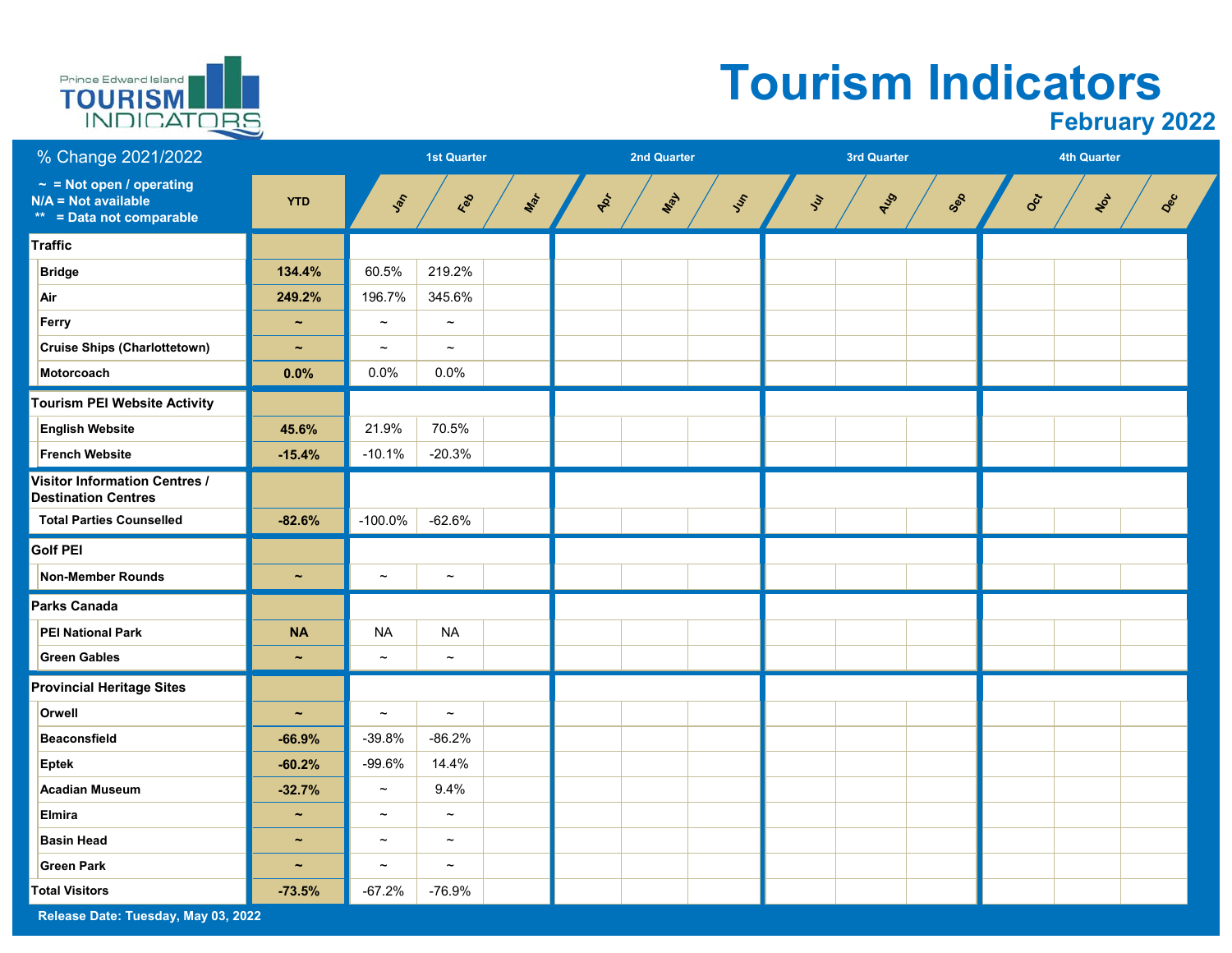

# **Tourism Indicators**

| % Change 2021/2022                                                                 |                       |                           | <b>1st Quarter</b>        |     |    | <b>2nd Quarter</b> |      |      | <b>3rd Quarter</b> |     |     | <b>4th Quarter</b> |     |
|------------------------------------------------------------------------------------|-----------------------|---------------------------|---------------------------|-----|----|--------------------|------|------|--------------------|-----|-----|--------------------|-----|
| $\sim$ = Not open / operating<br>$N/A = Not available$<br>** = Data not comparable | <b>YTD</b>            | Jan                       | Red                       | Mar | PR | Max                | Just | Jur. | AUS                | Sep | Oct | $x_{6}$            | Dec |
| <b>Traffic</b>                                                                     |                       |                           |                           |     |    |                    |      |      |                    |     |     |                    |     |
| <b>Bridge</b>                                                                      | 134.4%                | 60.5%                     | 219.2%                    |     |    |                    |      |      |                    |     |     |                    |     |
| Air                                                                                | 249.2%                | 196.7%                    | 345.6%                    |     |    |                    |      |      |                    |     |     |                    |     |
| Ferry                                                                              | $\tilde{\phantom{a}}$ | $\thicksim$               | $\tilde{}$                |     |    |                    |      |      |                    |     |     |                    |     |
| <b>Cruise Ships (Charlottetown)</b>                                                | $\tilde{\phantom{a}}$ | $\tilde{\phantom{a}}$     | $\tilde{\phantom{a}}$     |     |    |                    |      |      |                    |     |     |                    |     |
| Motorcoach                                                                         | 0.0%                  | 0.0%                      | 0.0%                      |     |    |                    |      |      |                    |     |     |                    |     |
| <b>Tourism PEI Website Activity</b>                                                |                       |                           |                           |     |    |                    |      |      |                    |     |     |                    |     |
| <b>English Website</b>                                                             | 45.6%                 | 21.9%                     | 70.5%                     |     |    |                    |      |      |                    |     |     |                    |     |
| <b>French Website</b>                                                              | $-15.4%$              | $-10.1%$                  | $-20.3%$                  |     |    |                    |      |      |                    |     |     |                    |     |
| <b>Visitor Information Centres /</b><br><b>Destination Centres</b>                 |                       |                           |                           |     |    |                    |      |      |                    |     |     |                    |     |
| <b>Total Parties Counselled</b>                                                    | $-82.6%$              | $-100.0%$                 | $-62.6%$                  |     |    |                    |      |      |                    |     |     |                    |     |
| <b>Golf PEI</b>                                                                    |                       |                           |                           |     |    |                    |      |      |                    |     |     |                    |     |
| <b>Non-Member Rounds</b>                                                           | $\tilde{\phantom{a}}$ | $\tilde{\phantom{a}}$     | $\thicksim$               |     |    |                    |      |      |                    |     |     |                    |     |
| Parks Canada                                                                       |                       |                           |                           |     |    |                    |      |      |                    |     |     |                    |     |
| <b>PEI National Park</b>                                                           | <b>NA</b>             | <b>NA</b>                 | <b>NA</b>                 |     |    |                    |      |      |                    |     |     |                    |     |
| <b>Green Gables</b>                                                                | $\tilde{\phantom{a}}$ | $\thicksim$               | $\thicksim$               |     |    |                    |      |      |                    |     |     |                    |     |
| <b>Provincial Heritage Sites</b>                                                   |                       |                           |                           |     |    |                    |      |      |                    |     |     |                    |     |
| Orwell                                                                             | $\tilde{\phantom{a}}$ | $\widetilde{\phantom{m}}$ | $\thicksim$               |     |    |                    |      |      |                    |     |     |                    |     |
| Beaconsfield                                                                       | $-66.9%$              | $-39.8%$                  | $-86.2%$                  |     |    |                    |      |      |                    |     |     |                    |     |
| <b>Eptek</b>                                                                       | $-60.2%$              | $-99.6%$                  | 14.4%                     |     |    |                    |      |      |                    |     |     |                    |     |
| <b>Acadian Museum</b>                                                              | $-32.7%$              | $\widetilde{\phantom{m}}$ | 9.4%                      |     |    |                    |      |      |                    |     |     |                    |     |
| <b>Elmira</b>                                                                      | $\tilde{\phantom{a}}$ | $\thicksim$               | $\thicksim$               |     |    |                    |      |      |                    |     |     |                    |     |
| <b>Basin Head</b>                                                                  | $\tilde{\phantom{a}}$ | $\tilde{}$                | $\widetilde{\phantom{m}}$ |     |    |                    |      |      |                    |     |     |                    |     |
| <b>Green Park</b>                                                                  | $\tilde{\phantom{a}}$ | $\tilde{\phantom{a}}$     | $\tilde{\phantom{a}}$     |     |    |                    |      |      |                    |     |     |                    |     |
| <b>Total Visitors</b>                                                              | $-73.5%$              | $-67.2%$                  | $-76.9%$                  |     |    |                    |      |      |                    |     |     |                    |     |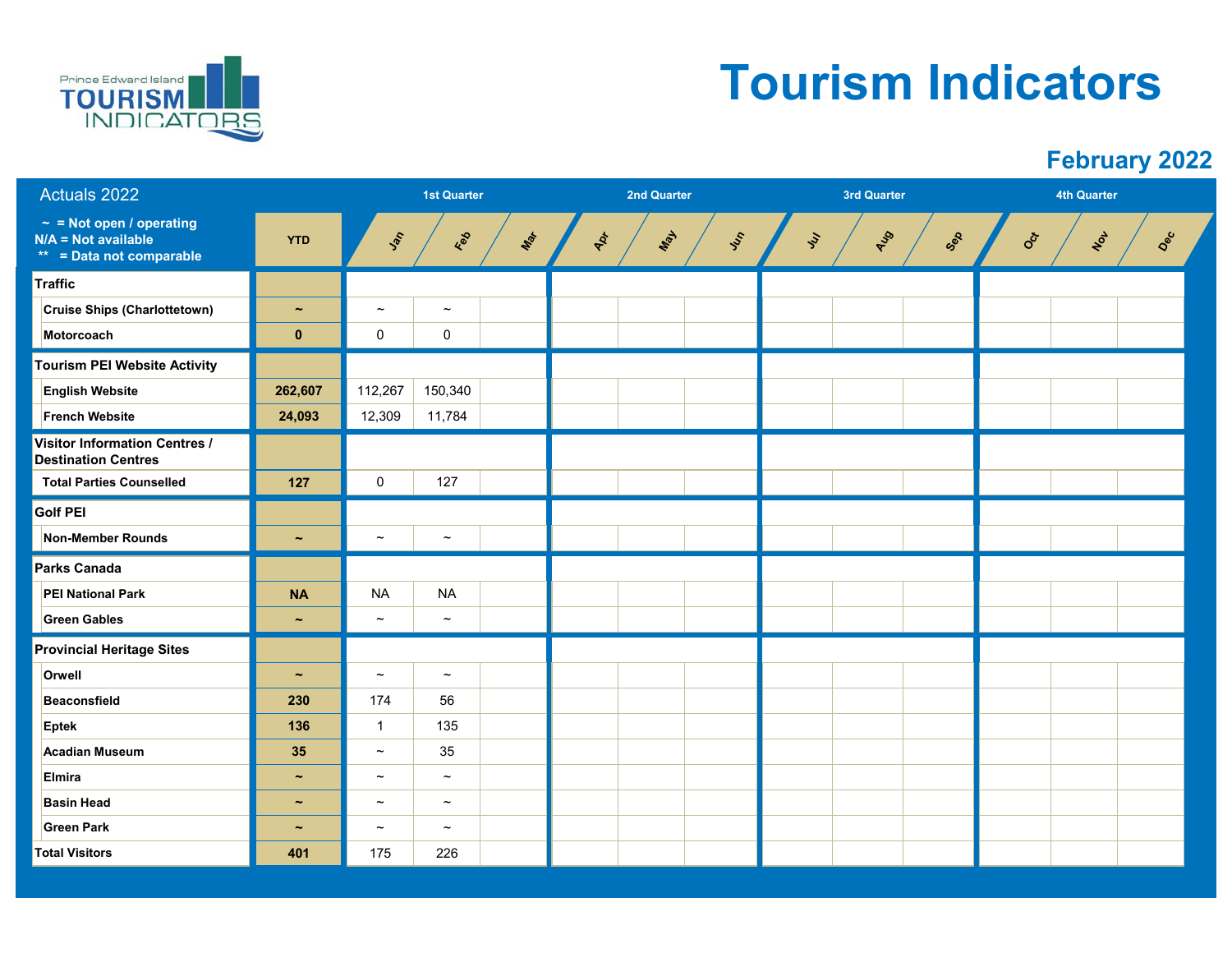

### **Tourism Indicators**

| Actuals 2022                                                                       |                       |                           | <b>1st Quarter</b>    |     |     | <b>2nd Quarter</b> |     |    | <b>3rd Quarter</b> |     |     |     | <b>4th Quarter</b> |     |     |
|------------------------------------------------------------------------------------|-----------------------|---------------------------|-----------------------|-----|-----|--------------------|-----|----|--------------------|-----|-----|-----|--------------------|-----|-----|
| $\sim$ = Not open / operating<br>$N/A = Not available$<br>** = Data not comparable | <b>YTD</b>            | Jan                       | Red                   | Mar | ADT | Max                | Jes | in |                    | AUS | Sep | Oct |                    | NOT | Dec |
| <b>Traffic</b>                                                                     |                       |                           |                       |     |     |                    |     |    |                    |     |     |     |                    |     |     |
| Cruise Ships (Charlottetown)                                                       | $\tilde{\phantom{a}}$ | $\widetilde{\phantom{m}}$ | $\tilde{\phantom{a}}$ |     |     |                    |     |    |                    |     |     |     |                    |     |     |
| Motorcoach                                                                         | $\bf{0}$              | 0                         | $\pmb{0}$             |     |     |                    |     |    |                    |     |     |     |                    |     |     |
| <b>Tourism PEI Website Activity</b>                                                |                       |                           |                       |     |     |                    |     |    |                    |     |     |     |                    |     |     |
| <b>English Website</b>                                                             | 262,607               | 112,267                   | 150,340               |     |     |                    |     |    |                    |     |     |     |                    |     |     |
| <b>French Website</b>                                                              | 24,093                | 12,309                    | 11,784                |     |     |                    |     |    |                    |     |     |     |                    |     |     |
| <b>Visitor Information Centres /</b><br><b>Destination Centres</b>                 |                       |                           |                       |     |     |                    |     |    |                    |     |     |     |                    |     |     |
| <b>Total Parties Counselled</b>                                                    | 127                   | $\pmb{0}$                 | 127                   |     |     |                    |     |    |                    |     |     |     |                    |     |     |
| <b>Golf PEI</b>                                                                    |                       |                           |                       |     |     |                    |     |    |                    |     |     |     |                    |     |     |
| Non-Member Rounds                                                                  | $\tilde{\phantom{a}}$ | $\tilde{}$                | $\tilde{\phantom{a}}$ |     |     |                    |     |    |                    |     |     |     |                    |     |     |
| <b>Parks Canada</b>                                                                |                       |                           |                       |     |     |                    |     |    |                    |     |     |     |                    |     |     |
| <b>PEI National Park</b>                                                           | <b>NA</b>             | <b>NA</b>                 | <b>NA</b>             |     |     |                    |     |    |                    |     |     |     |                    |     |     |
| <b>Green Gables</b>                                                                | $\tilde{\phantom{a}}$ | $\thicksim$               | $\tilde{\phantom{a}}$ |     |     |                    |     |    |                    |     |     |     |                    |     |     |
| <b>Provincial Heritage Sites</b>                                                   |                       |                           |                       |     |     |                    |     |    |                    |     |     |     |                    |     |     |
| Orwell                                                                             | $\tilde{\phantom{a}}$ | $\thicksim$               | $\thicksim$           |     |     |                    |     |    |                    |     |     |     |                    |     |     |
| Beaconsfield                                                                       | 230                   | 174                       | 56                    |     |     |                    |     |    |                    |     |     |     |                    |     |     |
| <b>Eptek</b>                                                                       | 136                   | $\mathbf{1}$              | 135                   |     |     |                    |     |    |                    |     |     |     |                    |     |     |
| <b>Acadian Museum</b>                                                              | 35                    | $\tilde{}$                | $35\,$                |     |     |                    |     |    |                    |     |     |     |                    |     |     |
| <b>Elmira</b>                                                                      | $\tilde{\phantom{a}}$ | $\thicksim$               | $\tilde{}$            |     |     |                    |     |    |                    |     |     |     |                    |     |     |
| <b>Basin Head</b>                                                                  | $\tilde{\phantom{a}}$ | $\widetilde{\phantom{m}}$ | $\tilde{\phantom{a}}$ |     |     |                    |     |    |                    |     |     |     |                    |     |     |
| <b>Green Park</b>                                                                  | $\tilde{\phantom{a}}$ | $\widetilde{\phantom{m}}$ | $\tilde{\phantom{a}}$ |     |     |                    |     |    |                    |     |     |     |                    |     |     |
| <b>Total Visitors</b>                                                              | 401                   | 175                       | 226                   |     |     |                    |     |    |                    |     |     |     |                    |     |     |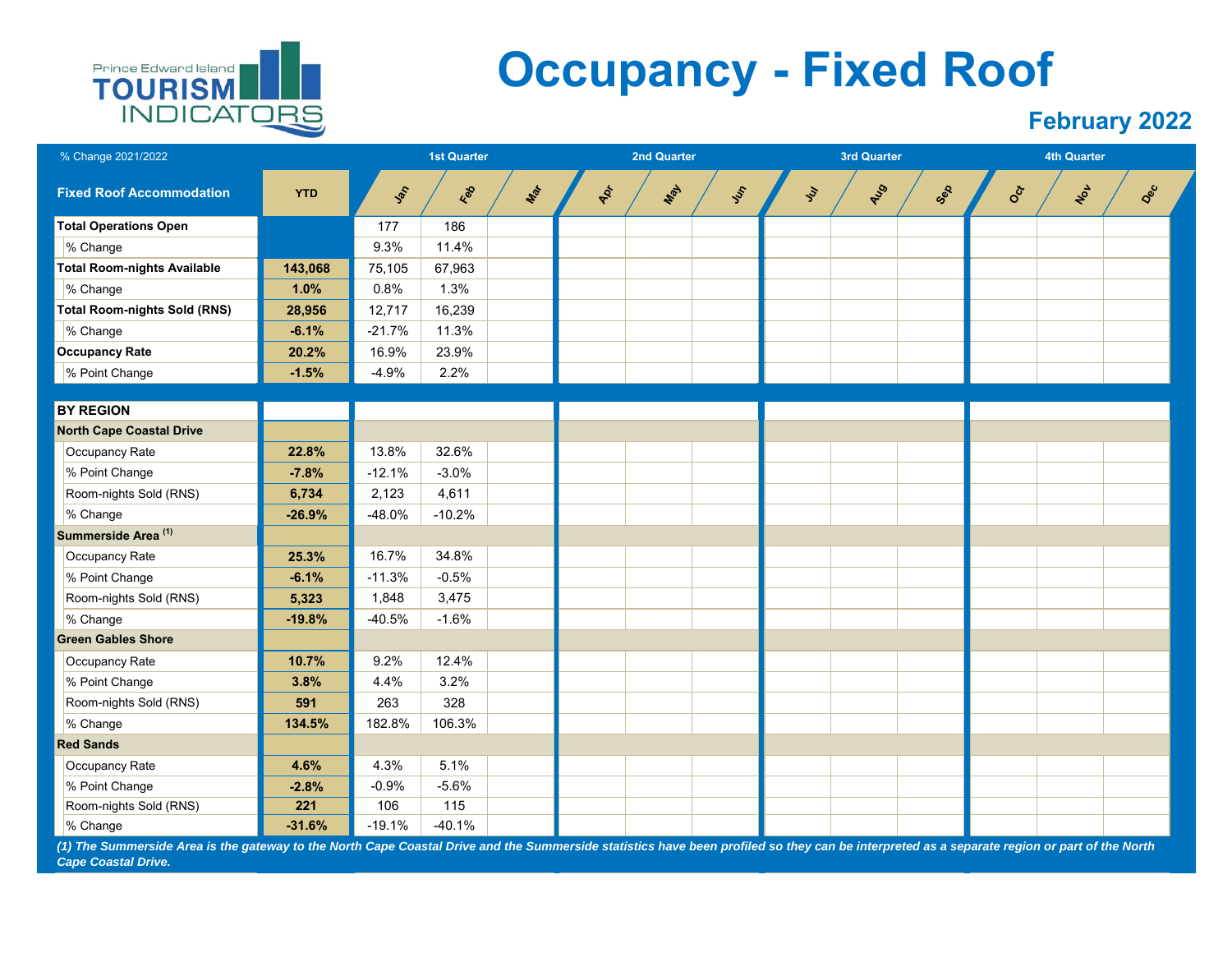

## **Occupancy - Fixed Roof**

#### **February 2022**

| % Change 2021/2022                  |            |          | <b>1st Quarter</b> |     |    | 2nd Quarter |     |                   | 3rd Quarter |     |     | <b>4th Quarter</b> |     |
|-------------------------------------|------------|----------|--------------------|-----|----|-------------|-----|-------------------|-------------|-----|-----|--------------------|-----|
| <b>Fixed Roof Accommodation</b>     | <b>YTD</b> | Jan      | Feb                | Max | PR | May         | Jen | $\dot{\check{z}}$ | AUS         | Sep | Oct | NOL                | Dec |
| <b>Total Operations Open</b>        |            | 177      | 186                |     |    |             |     |                   |             |     |     |                    |     |
| % Change                            |            | 9.3%     | 11.4%              |     |    |             |     |                   |             |     |     |                    |     |
| <b>Total Room-nights Available</b>  | 143,068    | 75,105   | 67,963             |     |    |             |     |                   |             |     |     |                    |     |
| % Change                            | 1.0%       | 0.8%     | 1.3%               |     |    |             |     |                   |             |     |     |                    |     |
| <b>Total Room-nights Sold (RNS)</b> | 28,956     | 12,717   | 16,239             |     |    |             |     |                   |             |     |     |                    |     |
| % Change                            | $-6.1%$    | $-21.7%$ | 11.3%              |     |    |             |     |                   |             |     |     |                    |     |
| <b>Occupancy Rate</b>               | 20.2%      | 16.9%    | 23.9%              |     |    |             |     |                   |             |     |     |                    |     |
| % Point Change                      | $-1.5%$    | $-4.9%$  | 2.2%               |     |    |             |     |                   |             |     |     |                    |     |
|                                     |            |          |                    |     |    |             |     |                   |             |     |     |                    |     |
| <b>BY REGION</b>                    |            |          |                    |     |    |             |     |                   |             |     |     |                    |     |
| <b>North Cape Coastal Drive</b>     |            |          |                    |     |    |             |     |                   |             |     |     |                    |     |
| Occupancy Rate                      | 22.8%      | 13.8%    | 32.6%              |     |    |             |     |                   |             |     |     |                    |     |
| % Point Change                      | $-7.8%$    | $-12.1%$ | $-3.0%$            |     |    |             |     |                   |             |     |     |                    |     |
| Room-nights Sold (RNS)              | 6,734      | 2,123    | 4,611              |     |    |             |     |                   |             |     |     |                    |     |
| % Change                            | $-26.9%$   | $-48.0%$ | $-10.2%$           |     |    |             |     |                   |             |     |     |                    |     |
| Summerside Area <sup>(1)</sup>      |            |          |                    |     |    |             |     |                   |             |     |     |                    |     |
| Occupancy Rate                      | 25.3%      | 16.7%    | 34.8%              |     |    |             |     |                   |             |     |     |                    |     |
| % Point Change                      | $-6.1%$    | $-11.3%$ | $-0.5%$            |     |    |             |     |                   |             |     |     |                    |     |
| Room-nights Sold (RNS)              | 5,323      | 1,848    | 3,475              |     |    |             |     |                   |             |     |     |                    |     |
| % Change                            | $-19.8%$   | $-40.5%$ | $-1.6%$            |     |    |             |     |                   |             |     |     |                    |     |
| <b>Green Gables Shore</b>           |            |          |                    |     |    |             |     |                   |             |     |     |                    |     |
| Occupancy Rate                      | 10.7%      | 9.2%     | 12.4%              |     |    |             |     |                   |             |     |     |                    |     |
| % Point Change                      | 3.8%       | 4.4%     | 3.2%               |     |    |             |     |                   |             |     |     |                    |     |
| Room-nights Sold (RNS)              | 591        | 263      | 328                |     |    |             |     |                   |             |     |     |                    |     |
| % Change                            | 134.5%     | 182.8%   | 106.3%             |     |    |             |     |                   |             |     |     |                    |     |
| <b>Red Sands</b>                    |            |          |                    |     |    |             |     |                   |             |     |     |                    |     |
| Occupancy Rate                      | 4.6%       | 4.3%     | 5.1%               |     |    |             |     |                   |             |     |     |                    |     |
| % Point Change                      | $-2.8%$    | $-0.9%$  | $-5.6%$            |     |    |             |     |                   |             |     |     |                    |     |
| Room-nights Sold (RNS)              | 221        | 106      | 115                |     |    |             |     |                   |             |     |     |                    |     |
| % Change                            | $-31.6%$   | $-19.1%$ | $-40.1%$           |     |    |             |     |                   |             |     |     |                    |     |

*(1) The Summerside Area is the gateway to the North Cape Coastal Drive and the Summerside statistics have been profiled so they can be interpreted as a separate region or part of the North Cape Coastal Drive.*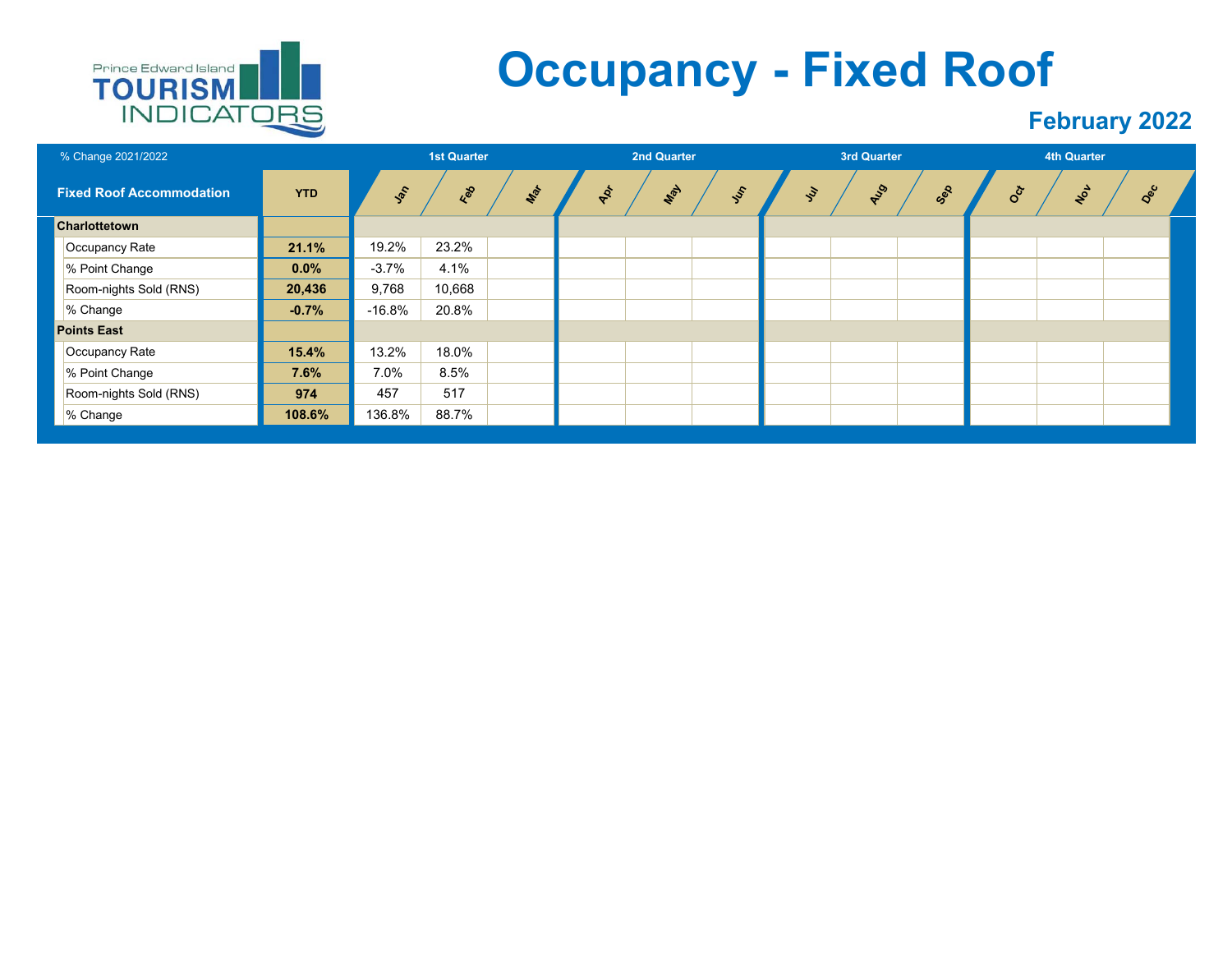

## **Occupancy - Fixed Roof**

| % Change 2021/2022              |            |               | <b>1st Quarter</b> |     |     | 2nd Quarter |               |                | 3rd Quarter |     |            | 4th Quarter |     |
|---------------------------------|------------|---------------|--------------------|-----|-----|-------------|---------------|----------------|-------------|-----|------------|-------------|-----|
| <b>Fixed Roof Accommodation</b> | <b>YTD</b> | $\frac{1}{2}$ | Feb                | Mar | APT | May         | $\frac{1}{2}$ | $\mathcal{S}'$ | AUS         | Sep | <b>Oct</b> | NOL         | Dec |
| Charlottetown                   |            |               |                    |     |     |             |               |                |             |     |            |             |     |
| Occupancy Rate                  | 21.1%      | 19.2%         | 23.2%              |     |     |             |               |                |             |     |            |             |     |
| % Point Change                  | $0.0\%$    | $-3.7%$       | 4.1%               |     |     |             |               |                |             |     |            |             |     |
| Room-nights Sold (RNS)          | 20,436     | 9,768         | 10,668             |     |     |             |               |                |             |     |            |             |     |
| % Change                        | $-0.7%$    | $-16.8%$      | 20.8%              |     |     |             |               |                |             |     |            |             |     |
| <b>Points East</b>              |            |               |                    |     |     |             |               |                |             |     |            |             |     |
| Occupancy Rate                  | 15.4%      | 13.2%         | 18.0%              |     |     |             |               |                |             |     |            |             |     |
| % Point Change                  | 7.6%       | 7.0%          | 8.5%               |     |     |             |               |                |             |     |            |             |     |
| Room-nights Sold (RNS)          | 974        | 457           | 517                |     |     |             |               |                |             |     |            |             |     |
| % Change                        | 108.6%     | 136.8%        | 88.7%              |     |     |             |               |                |             |     |            |             |     |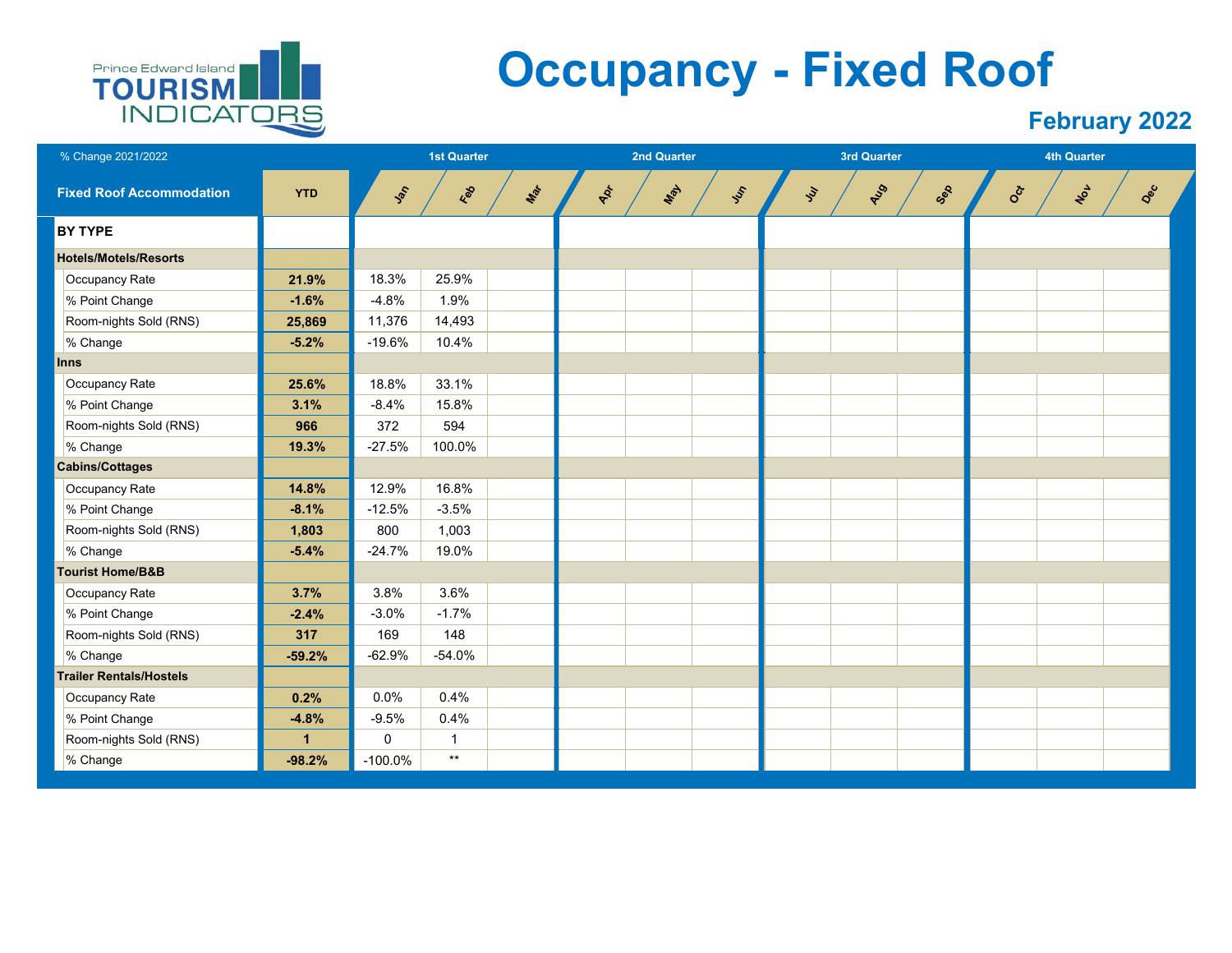

## **Occupancy - Fixed Roof**

| % Change 2021/2022              |                      | <b>1st Quarter</b> |              |     |     | <b>2nd Quarter</b> |     |     |                    | 3rd Quarter |     |     | <b>4th Quarter</b> |     |  |
|---------------------------------|----------------------|--------------------|--------------|-----|-----|--------------------|-----|-----|--------------------|-------------|-----|-----|--------------------|-----|--|
| <b>Fixed Roof Accommodation</b> | <b>YTD</b>           | Jan                | <b>Feb</b>   | Max | Apt |                    | Max | Jes | $\mathcal{L}_{ij}$ | AUS         | Sep | Oct | Not                | Dec |  |
| <b>BY TYPE</b>                  |                      |                    |              |     |     |                    |     |     |                    |             |     |     |                    |     |  |
| <b>Hotels/Motels/Resorts</b>    |                      |                    |              |     |     |                    |     |     |                    |             |     |     |                    |     |  |
| Occupancy Rate                  | 21.9%                | 18.3%              | 25.9%        |     |     |                    |     |     |                    |             |     |     |                    |     |  |
| % Point Change                  | $-1.6%$              | $-4.8%$            | 1.9%         |     |     |                    |     |     |                    |             |     |     |                    |     |  |
| Room-nights Sold (RNS)          | 25,869               | 11,376             | 14,493       |     |     |                    |     |     |                    |             |     |     |                    |     |  |
| % Change                        | $-5.2%$              | $-19.6%$           | 10.4%        |     |     |                    |     |     |                    |             |     |     |                    |     |  |
| <b>Inns</b>                     |                      |                    |              |     |     |                    |     |     |                    |             |     |     |                    |     |  |
| Occupancy Rate                  | 25.6%                | 18.8%              | 33.1%        |     |     |                    |     |     |                    |             |     |     |                    |     |  |
| % Point Change                  | 3.1%                 | $-8.4%$            | 15.8%        |     |     |                    |     |     |                    |             |     |     |                    |     |  |
| Room-nights Sold (RNS)          | 966                  | 372                | 594          |     |     |                    |     |     |                    |             |     |     |                    |     |  |
| % Change                        | 19.3%                | $-27.5%$           | 100.0%       |     |     |                    |     |     |                    |             |     |     |                    |     |  |
| <b>Cabins/Cottages</b>          |                      |                    |              |     |     |                    |     |     |                    |             |     |     |                    |     |  |
| Occupancy Rate                  | 14.8%                | 12.9%              | 16.8%        |     |     |                    |     |     |                    |             |     |     |                    |     |  |
| % Point Change                  | $-8.1%$              | $-12.5%$           | $-3.5%$      |     |     |                    |     |     |                    |             |     |     |                    |     |  |
| Room-nights Sold (RNS)          | 1,803                | 800                | 1,003        |     |     |                    |     |     |                    |             |     |     |                    |     |  |
| % Change                        | $-5.4%$              | $-24.7%$           | 19.0%        |     |     |                    |     |     |                    |             |     |     |                    |     |  |
| <b>Tourist Home/B&amp;B</b>     |                      |                    |              |     |     |                    |     |     |                    |             |     |     |                    |     |  |
| Occupancy Rate                  | 3.7%                 | 3.8%               | 3.6%         |     |     |                    |     |     |                    |             |     |     |                    |     |  |
| % Point Change                  | $-2.4%$              | $-3.0%$            | $-1.7%$      |     |     |                    |     |     |                    |             |     |     |                    |     |  |
| Room-nights Sold (RNS)          | 317                  | 169                | 148          |     |     |                    |     |     |                    |             |     |     |                    |     |  |
| % Change                        | $-59.2%$             | $-62.9%$           | $-54.0%$     |     |     |                    |     |     |                    |             |     |     |                    |     |  |
| <b>Trailer Rentals/Hostels</b>  |                      |                    |              |     |     |                    |     |     |                    |             |     |     |                    |     |  |
| Occupancy Rate                  | 0.2%                 | 0.0%               | 0.4%         |     |     |                    |     |     |                    |             |     |     |                    |     |  |
| % Point Change                  | $-4.8%$              | $-9.5%$            | 0.4%         |     |     |                    |     |     |                    |             |     |     |                    |     |  |
| Room-nights Sold (RNS)          | $\blacktriangleleft$ | 0                  | $\mathbf{1}$ |     |     |                    |     |     |                    |             |     |     |                    |     |  |
| % Change                        | $-98.2%$             | $-100.0%$          | $\star\star$ |     |     |                    |     |     |                    |             |     |     |                    |     |  |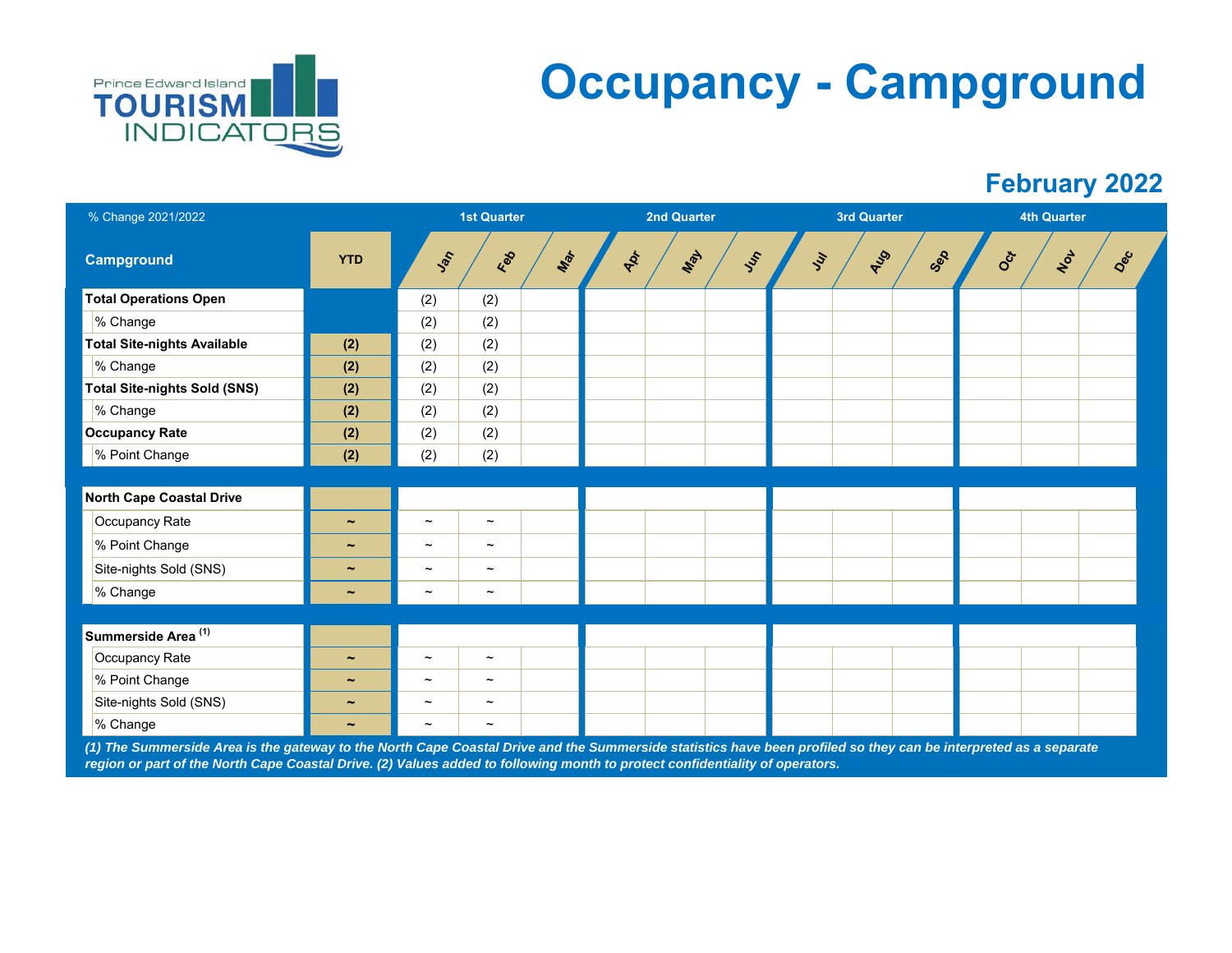

# **Occupancy - Campground**

#### **February 2022**

| % Change 2021/2022                  |                       |                           | <b>1st Quarter</b>        |     |     | <b>2nd Quarter</b> |      |     | <b>3rd Quarter</b> |     | <b>4th Quarter</b> |     |  |
|-------------------------------------|-----------------------|---------------------------|---------------------------|-----|-----|--------------------|------|-----|--------------------|-----|--------------------|-----|--|
| <b>Campground</b>                   | <b>YTD</b>            | Jan                       | Red                       | Max | Apr | May                | Just | Juy | AUS                | Sep | NOV<br>Oct         | Dec |  |
| <b>Total Operations Open</b>        |                       | (2)                       | (2)                       |     |     |                    |      |     |                    |     |                    |     |  |
| % Change                            |                       | (2)                       | (2)                       |     |     |                    |      |     |                    |     |                    |     |  |
| <b>Total Site-nights Available</b>  | (2)                   | (2)                       | (2)                       |     |     |                    |      |     |                    |     |                    |     |  |
| % Change                            | (2)                   | (2)                       | (2)                       |     |     |                    |      |     |                    |     |                    |     |  |
| <b>Total Site-nights Sold (SNS)</b> | (2)                   | (2)                       | (2)                       |     |     |                    |      |     |                    |     |                    |     |  |
| % Change                            | (2)                   | (2)                       | (2)                       |     |     |                    |      |     |                    |     |                    |     |  |
| <b>Occupancy Rate</b>               | (2)                   | (2)                       | (2)                       |     |     |                    |      |     |                    |     |                    |     |  |
| % Point Change                      | (2)                   | (2)                       | (2)                       |     |     |                    |      |     |                    |     |                    |     |  |
|                                     |                       |                           |                           |     |     |                    |      |     |                    |     |                    |     |  |
| <b>North Cape Coastal Drive</b>     |                       |                           |                           |     |     |                    |      |     |                    |     |                    |     |  |
| Occupancy Rate                      | $\tilde{\phantom{a}}$ | $\tilde{\phantom{a}}$     | $\tilde{}$                |     |     |                    |      |     |                    |     |                    |     |  |
| % Point Change                      | $\tilde{\phantom{a}}$ | $\tilde{}$                | $\tilde{}$                |     |     |                    |      |     |                    |     |                    |     |  |
| Site-nights Sold (SNS)              | $\tilde{\phantom{a}}$ | $\widetilde{\phantom{m}}$ | $\widetilde{\phantom{m}}$ |     |     |                    |      |     |                    |     |                    |     |  |
| % Change                            | $\tilde{\phantom{a}}$ | $\widetilde{\phantom{m}}$ | $\tilde{}$                |     |     |                    |      |     |                    |     |                    |     |  |
|                                     |                       |                           |                           |     |     |                    |      |     |                    |     |                    |     |  |
| Summerside Area <sup>(1)</sup>      |                       |                           |                           |     |     |                    |      |     |                    |     |                    |     |  |
| Occupancy Rate                      | $\tilde{\phantom{a}}$ | $\widetilde{\phantom{m}}$ | $\widetilde{\phantom{m}}$ |     |     |                    |      |     |                    |     |                    |     |  |
| % Point Change                      | $\tilde{\phantom{a}}$ | $\widetilde{\phantom{m}}$ | $\tilde{}$                |     |     |                    |      |     |                    |     |                    |     |  |
| Site-nights Sold (SNS)              | $\tilde{\phantom{a}}$ | $\tilde{}$                | $\widetilde{\phantom{m}}$ |     |     |                    |      |     |                    |     |                    |     |  |
| % Change                            | $\tilde{\phantom{a}}$ | $\tilde{}$                | $\thicksim$               |     |     |                    |      |     |                    |     |                    |     |  |

*(1) The Summerside Area is the gateway to the North Cape Coastal Drive and the Summerside statistics have been profiled so they can be interpreted as a separate region or part of the North Cape Coastal Drive. (2) Values added to following month to protect confidentiality of operators.*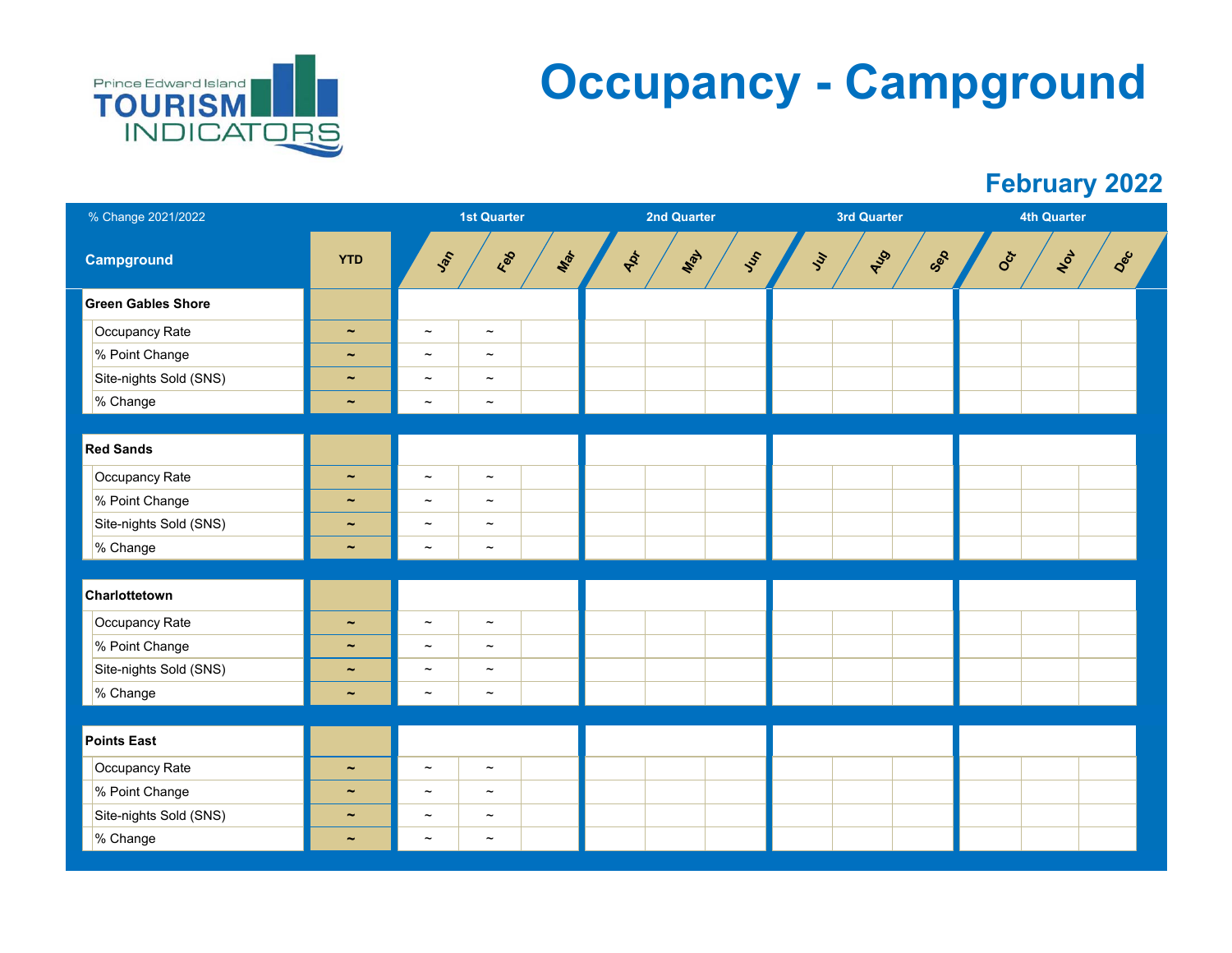

# **Occupancy - Campground**

| % Change 2021/2022        |                       |                       | <b>1st Quarter</b>        |     |     | 2nd Quarter |     |    | <b>3rd Quarter</b> |     |     | <b>4th Quarter</b> |     |  |
|---------------------------|-----------------------|-----------------------|---------------------------|-----|-----|-------------|-----|----|--------------------|-----|-----|--------------------|-----|--|
| <b>Campground</b>         | <b>YTD</b>            | Jan                   | Red                       | Max | Apr | May         | Jes | Ju | AUS                | Sep | Oct | NOV                | Dec |  |
| <b>Green Gables Shore</b> |                       |                       |                           |     |     |             |     |    |                    |     |     |                    |     |  |
| Occupancy Rate            | $\tilde{\phantom{a}}$ | $\tilde{\phantom{a}}$ | $\tilde{\phantom{a}}$     |     |     |             |     |    |                    |     |     |                    |     |  |
| % Point Change            | $\tilde{\phantom{a}}$ | $\tilde{\phantom{a}}$ | $\tilde{\phantom{a}}$     |     |     |             |     |    |                    |     |     |                    |     |  |
| Site-nights Sold (SNS)    | $\tilde{\phantom{a}}$ | $\tilde{\phantom{a}}$ | $\thicksim$               |     |     |             |     |    |                    |     |     |                    |     |  |
| % Change                  | $\tilde{\phantom{a}}$ | $\tilde{\phantom{a}}$ | $\tilde{}$                |     |     |             |     |    |                    |     |     |                    |     |  |
|                           |                       |                       |                           |     |     |             |     |    |                    |     |     |                    |     |  |
| <b>Red Sands</b>          |                       |                       |                           |     |     |             |     |    |                    |     |     |                    |     |  |
| Occupancy Rate            | $\tilde{\phantom{a}}$ | $\thicksim$           | $\thicksim$               |     |     |             |     |    |                    |     |     |                    |     |  |
| % Point Change            | $\tilde{\phantom{a}}$ | $\tilde{\phantom{a}}$ | $\widetilde{\phantom{m}}$ |     |     |             |     |    |                    |     |     |                    |     |  |
| Site-nights Sold (SNS)    | $\tilde{\phantom{a}}$ | $\tilde{\phantom{a}}$ | $\tilde{\phantom{a}}$     |     |     |             |     |    |                    |     |     |                    |     |  |
| % Change                  | $\tilde{\phantom{a}}$ | $\tilde{}$            | $\thicksim$               |     |     |             |     |    |                    |     |     |                    |     |  |
|                           |                       |                       |                           |     |     |             |     |    |                    |     |     |                    |     |  |
| Charlottetown             |                       |                       |                           |     |     |             |     |    |                    |     |     |                    |     |  |
| Occupancy Rate            | $\tilde{\phantom{a}}$ | $\tilde{\phantom{a}}$ | $\tilde{\phantom{a}}$     |     |     |             |     |    |                    |     |     |                    |     |  |
| % Point Change            | $\tilde{\phantom{a}}$ | $\thicksim$           | $\tilde{\phantom{a}}$     |     |     |             |     |    |                    |     |     |                    |     |  |
| Site-nights Sold (SNS)    | $\tilde{\phantom{a}}$ | $\tilde{\phantom{a}}$ | $\tilde{\phantom{a}}$     |     |     |             |     |    |                    |     |     |                    |     |  |
| % Change                  | $\tilde{\phantom{a}}$ | $\tilde{\phantom{a}}$ | $\tilde{\phantom{a}}$     |     |     |             |     |    |                    |     |     |                    |     |  |
|                           |                       |                       |                           |     |     |             |     |    |                    |     |     |                    |     |  |
| <b>Points East</b>        |                       |                       |                           |     |     |             |     |    |                    |     |     |                    |     |  |
| Occupancy Rate            | $\tilde{\phantom{a}}$ | $\thicksim$           | $\thicksim$               |     |     |             |     |    |                    |     |     |                    |     |  |
| % Point Change            | $\tilde{\phantom{a}}$ | $\tilde{\phantom{a}}$ | $\tilde{\phantom{a}}$     |     |     |             |     |    |                    |     |     |                    |     |  |
| Site-nights Sold (SNS)    | $\tilde{\phantom{a}}$ | $\thicksim$           | $\widetilde{\phantom{m}}$ |     |     |             |     |    |                    |     |     |                    |     |  |
| % Change                  | $\tilde{\phantom{a}}$ | $\thicksim$           | $\tilde{\phantom{a}}$     |     |     |             |     |    |                    |     |     |                    |     |  |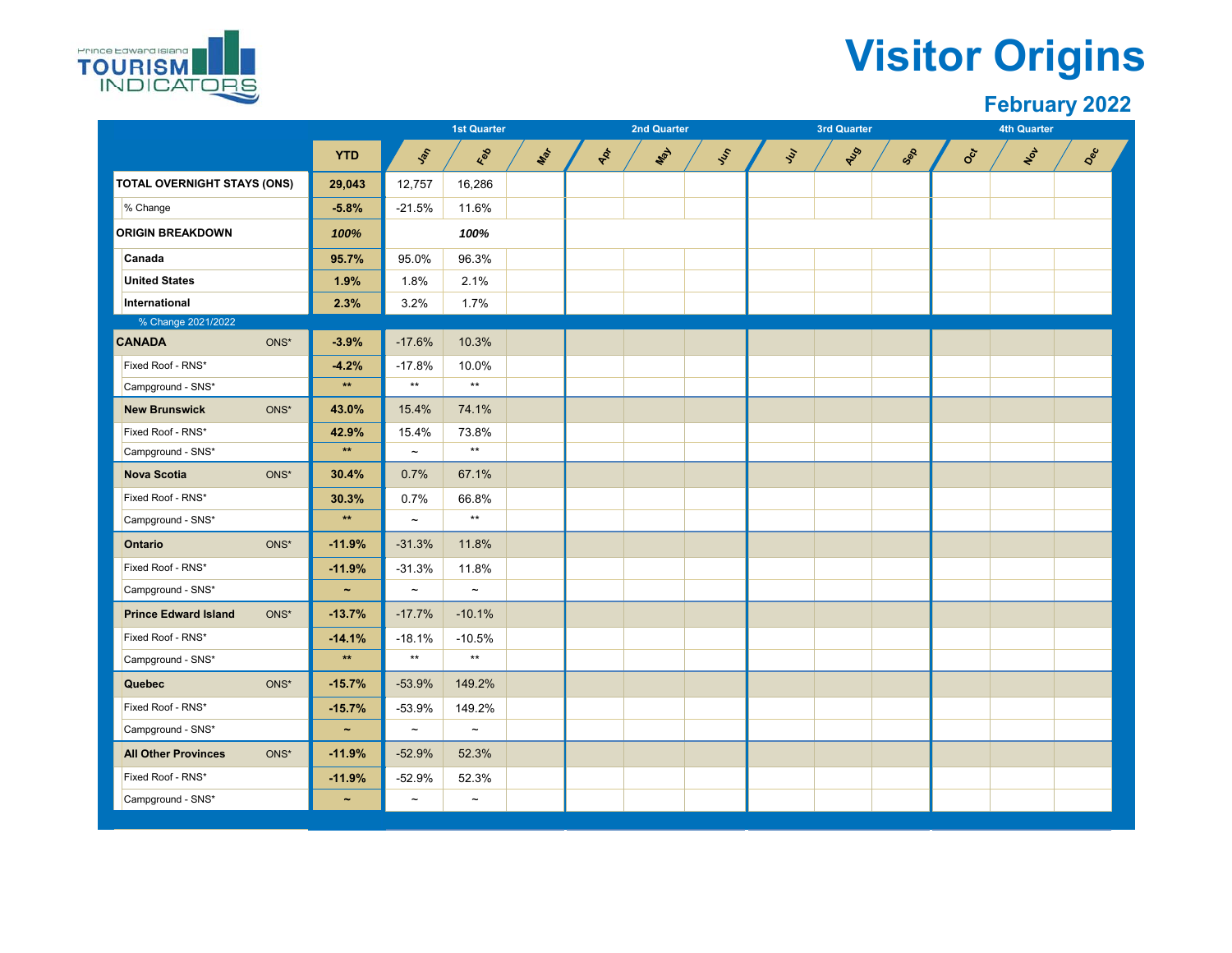

### **Visitor Origins**

|                                              |                       |              | <b>1st Quarter</b>        |               |     | <b>2nd Quarter</b> |   |                       | <b>3rd Quarter</b> |     |                           | <b>4th Quarter</b>  |     |
|----------------------------------------------|-----------------------|--------------|---------------------------|---------------|-----|--------------------|---|-----------------------|--------------------|-----|---------------------------|---------------------|-----|
|                                              | <b>YTD</b>            | <b>Set</b>   | Ees                       | $\phi_{\phi}$ | Apt | May                | ふ | $\tilde{\mathcal{S}}$ | AUS                | Sep | $\mathbf{e}^{\mathbf{c}}$ | $\boldsymbol{\phi}$ | Dec |
| TOTAL OVERNIGHT STAYS (ONS)                  | 29,043                | 12,757       | 16,286                    |               |     |                    |   |                       |                    |     |                           |                     |     |
| % Change                                     | $-5.8%$               | $-21.5%$     | 11.6%                     |               |     |                    |   |                       |                    |     |                           |                     |     |
| <b>ORIGIN BREAKDOWN</b>                      | 100%                  |              | 100%                      |               |     |                    |   |                       |                    |     |                           |                     |     |
| Canada                                       | 95.7%                 | 95.0%        | 96.3%                     |               |     |                    |   |                       |                    |     |                           |                     |     |
| <b>United States</b>                         | 1.9%                  | 1.8%         | 2.1%                      |               |     |                    |   |                       |                    |     |                           |                     |     |
| International                                | 2.3%                  | 3.2%         | 1.7%                      |               |     |                    |   |                       |                    |     |                           |                     |     |
| % Change 2021/2022                           |                       |              |                           |               |     |                    |   |                       |                    |     |                           |                     |     |
| <b>CANADA</b><br>ONS*                        | $-3.9%$               | $-17.6%$     | 10.3%                     |               |     |                    |   |                       |                    |     |                           |                     |     |
| Fixed Roof - RNS*                            | $-4.2%$               | $-17.8%$     | 10.0%                     |               |     |                    |   |                       |                    |     |                           |                     |     |
| Campground - SNS*                            | $\star\star$          | $**$         | $\star\star$              |               |     |                    |   |                       |                    |     |                           |                     |     |
| $ONS^*$<br><b>New Brunswick</b>              | 43.0%                 | 15.4%        | 74.1%                     |               |     |                    |   |                       |                    |     |                           |                     |     |
| Fixed Roof - RNS*                            | 42.9%                 | 15.4%        | 73.8%                     |               |     |                    |   |                       |                    |     |                           |                     |     |
| Campground - SNS*                            | $\star\star$          | $\tilde{}$   | $\star\star$              |               |     |                    |   |                       |                    |     |                           |                     |     |
| $\mathsf{ONS}^{\star}$<br><b>Nova Scotia</b> | 30.4%                 | 0.7%         | 67.1%                     |               |     |                    |   |                       |                    |     |                           |                     |     |
| Fixed Roof - RNS*                            | 30.3%                 | 0.7%         | 66.8%                     |               |     |                    |   |                       |                    |     |                           |                     |     |
| Campground - SNS*                            | $\star\star$          | $\tilde{}$   | $\star\star$              |               |     |                    |   |                       |                    |     |                           |                     |     |
| ONS*<br><b>Ontario</b>                       | $-11.9%$              | $-31.3%$     | 11.8%                     |               |     |                    |   |                       |                    |     |                           |                     |     |
| Fixed Roof - RNS*                            | $-11.9%$              | $-31.3%$     | 11.8%                     |               |     |                    |   |                       |                    |     |                           |                     |     |
| Campground - SNS*                            | $\tilde{\phantom{a}}$ | $\thicksim$  | $\tilde{\phantom{a}}$     |               |     |                    |   |                       |                    |     |                           |                     |     |
| <b>Prince Edward Island</b><br>ONS*          | $-13.7%$              | $-17.7%$     | $-10.1%$                  |               |     |                    |   |                       |                    |     |                           |                     |     |
| Fixed Roof - RNS*                            | $-14.1%$              | $-18.1%$     | $-10.5%$                  |               |     |                    |   |                       |                    |     |                           |                     |     |
| Campground - SNS*                            | $\star\star$          | $\star\star$ | $\star\star$              |               |     |                    |   |                       |                    |     |                           |                     |     |
| $ONS^*$<br><b>Quebec</b>                     | $-15.7%$              | $-53.9%$     | 149.2%                    |               |     |                    |   |                       |                    |     |                           |                     |     |
| Fixed Roof - RNS*                            | $-15.7%$              | $-53.9%$     | 149.2%                    |               |     |                    |   |                       |                    |     |                           |                     |     |
| Campground - SNS*                            | $\tilde{\phantom{a}}$ | $\tilde{}$   | $\tilde{}$                |               |     |                    |   |                       |                    |     |                           |                     |     |
| <b>All Other Provinces</b><br>ONS*           | $-11.9%$              | $-52.9%$     | 52.3%                     |               |     |                    |   |                       |                    |     |                           |                     |     |
| Fixed Roof - RNS*                            | $-11.9%$              | $-52.9%$     | 52.3%                     |               |     |                    |   |                       |                    |     |                           |                     |     |
| Campground - SNS*                            | $\tilde{}$            | $\tilde{}$   | $\widetilde{\phantom{m}}$ |               |     |                    |   |                       |                    |     |                           |                     |     |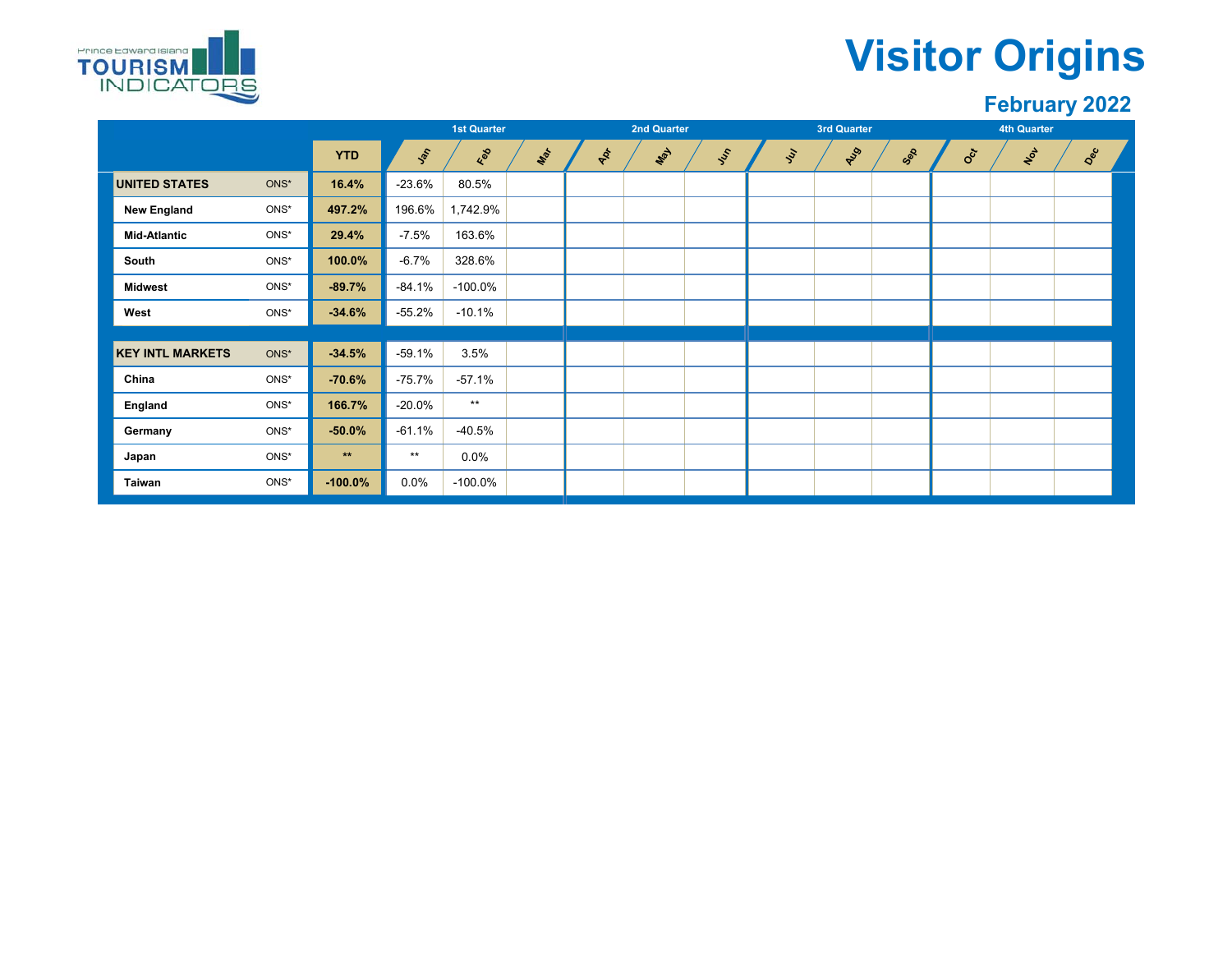

### **Visitor Origins**

|                      |                         |         |            | <b>1st Quarter</b> |              |     |    | <b>2nd Quarter</b> |     |                             | 3rd Quarter |     |                  | <b>4th Quarter</b> |     |  |
|----------------------|-------------------------|---------|------------|--------------------|--------------|-----|----|--------------------|-----|-----------------------------|-------------|-----|------------------|--------------------|-----|--|
|                      |                         |         | <b>YTD</b> | Jan                | Feb          | Mar | 4a | May                | Jus | $\mathcal{L}_{\mathcal{V}}$ | ALS         | Sep | $\sigma_{\rm c}$ | NOT                | Dec |  |
| <b>UNITED STATES</b> |                         | $ONS^*$ | 16.4%      | $-23.6%$           | 80.5%        |     |    |                    |     |                             |             |     |                  |                    |     |  |
| <b>New England</b>   |                         | ONS*    | 497.2%     | 196.6%             | 1,742.9%     |     |    |                    |     |                             |             |     |                  |                    |     |  |
| <b>Mid-Atlantic</b>  |                         | ONS*    | 29.4%      | $-7.5%$            | 163.6%       |     |    |                    |     |                             |             |     |                  |                    |     |  |
| South                |                         | ONS*    | 100.0%     | $-6.7%$            | 328.6%       |     |    |                    |     |                             |             |     |                  |                    |     |  |
| <b>Midwest</b>       |                         | ONS*    | $-89.7%$   | $-84.1%$           | $-100.0\%$   |     |    |                    |     |                             |             |     |                  |                    |     |  |
| West                 |                         | $ONS^*$ | $-34.6%$   | $-55.2%$           | $-10.1%$     |     |    |                    |     |                             |             |     |                  |                    |     |  |
|                      |                         |         |            |                    |              |     |    |                    |     |                             |             |     |                  |                    |     |  |
|                      | <b>KEY INTL MARKETS</b> | $ONS^*$ | $-34.5%$   | $-59.1%$           | 3.5%         |     |    |                    |     |                             |             |     |                  |                    |     |  |
| China                |                         | ONS*    | $-70.6%$   | $-75.7%$           | $-57.1%$     |     |    |                    |     |                             |             |     |                  |                    |     |  |
| England              |                         | ONS*    | 166.7%     | $-20.0%$           | $\star\star$ |     |    |                    |     |                             |             |     |                  |                    |     |  |
| Germany              |                         | ONS*    | $-50.0%$   | $-61.1%$           | $-40.5%$     |     |    |                    |     |                             |             |     |                  |                    |     |  |
| Japan                |                         | ONS*    | $**$       | $***$              | 0.0%         |     |    |                    |     |                             |             |     |                  |                    |     |  |
| Taiwan               |                         | ONS*    | $-100.0\%$ | 0.0%               | -100.0%      |     |    |                    |     |                             |             |     |                  |                    |     |  |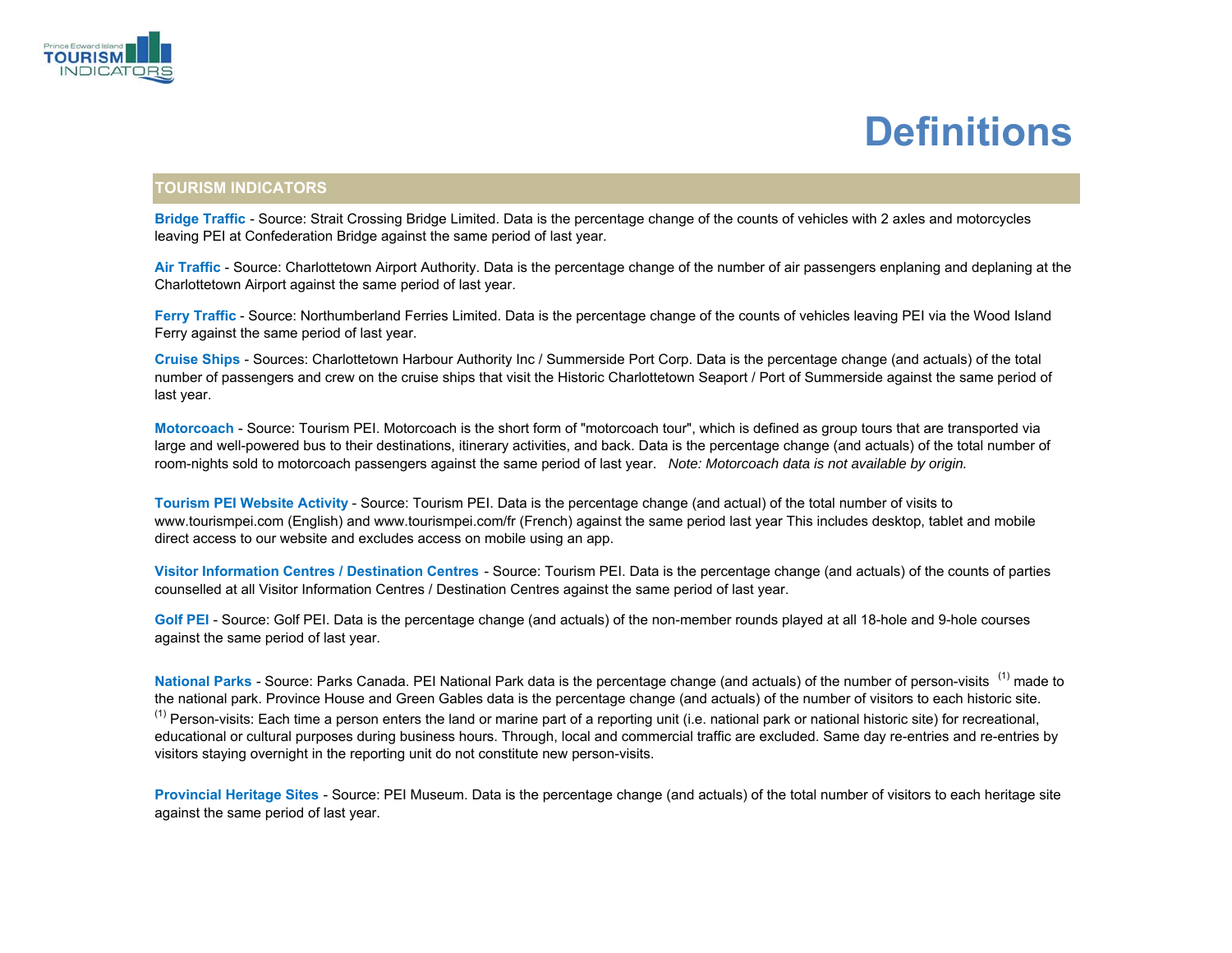

### **Definitions**

#### **TOURISM INDICATORS**

**Bridge Traffic** - Source: Strait Crossing Bridge Limited. Data is the percentage change of the counts of vehicles with 2 axles and motorcycles leaving PEI at Confederation Bridge against the same period of last year.

**Air Traffic** - Source: Charlottetown Airport Authority. Data is the percentage change of the number of air passengers enplaning and deplaning at the Charlottetown Airport against the same period of last year.

**Ferry Traffic** - Source: Northumberland Ferries Limited. Data is the percentage change of the counts of vehicles leaving PEI via the Wood Island Ferry against the same period of last year.

**Cruise Ships** - Sources: Charlottetown Harbour Authority Inc / Summerside Port Corp. Data is the percentage change (and actuals) of the total number of passengers and crew on the cruise ships that visit the Historic Charlottetown Seaport / Port of Summerside against the same period of last year.

**Motorcoach** - Source: Tourism PEI. Motorcoach is the short form of "motorcoach tour", which is defined as group tours that are transported via large and well-powered bus to their destinations, itinerary activities, and back. Data is the percentage change (and actuals) of the total number of room-nights sold to motorcoach passengers against the same period of last year. *Note: Motorcoach data is not available by origin.*

**Tourism PEI Website Activity** - Source: Tourism PEI. Data is the percentage change (and actual) of the total number of visits to www.tourismpei.com (English) and www.tourismpei.com/fr (French) against the same period last year This includes desktop, tablet and mobile direct access to our website and excludes access on mobile using an app.

**Visitor Information Centres / Destination Centres** - Source: Tourism PEI. Data is the percentage change (and actuals) of the counts of parties counselled at all Visitor Information Centres / Destination Centres against the same period of last year.

**Golf PEI** - Source: Golf PEI. Data is the percentage change (and actuals) of the non-member rounds played at all 18-hole and 9-hole courses against the same period of last year.

**National Parks** - Source: Parks Canada. PEI National Park data is the percentage change (and actuals) of the number of person-visits (1) made to the national park. Province House and Green Gables data is the percentage change (and actuals) of the number of visitors to each historic site.  $<sup>(1)</sup>$  Person-visits: Each time a person enters the land or marine part of a reporting unit (i.e. national park or national historic site) for recreational,</sup> educational or cultural purposes during business hours. Through, local and commercial traffic are excluded. Same day re-entries and re-entries by visitors staying overnight in the reporting unit do not constitute new person-visits.

**Provincial Heritage Sites** - Source: PEI Museum. Data is the percentage change (and actuals) of the total number of visitors to each heritage site against the same period of last year.